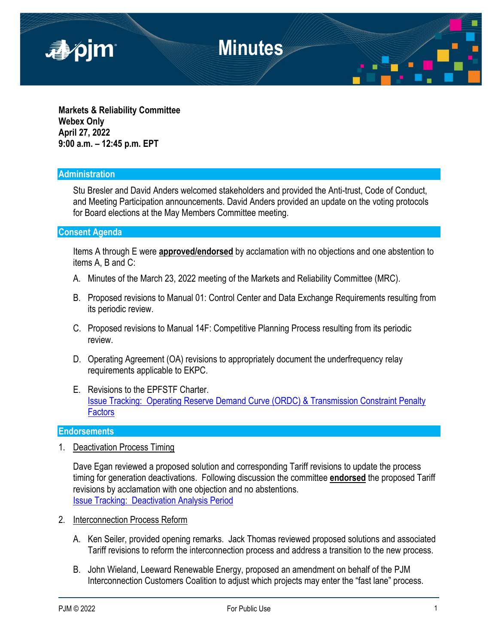

**Markets & Reliability Committee Webex Only April 27, 2022 9:00 a.m. – 12:45 p.m. EPT**

#### **Administration**

Stu Bresler and David Anders welcomed stakeholders and provided the Anti-trust, Code of Conduct, and Meeting Participation announcements. David Anders provided an update on the voting protocols for Board elections at the May Members Committee meeting.

#### **Consent Agenda**

Items A through E were **approved/endorsed** by acclamation with no objections and one abstention to items A, B and C:

- A. Minutes of the March 23, 2022 meeting of the Markets and Reliability Committee (MRC).
- B. Proposed revisions to Manual 01: Control Center and Data Exchange Requirements resulting from its periodic review.
- C. Proposed revisions to Manual 14F: Competitive Planning Process resulting from its periodic review.
- D. Operating Agreement (OA) revisions to appropriately document the underfrequency relay requirements applicable to EKPC.
- E. Revisions to the EPFSTF Charter. [Issue Tracking: Operating Reserve Demand Curve \(ORDC\) & Transmission Constraint Penalty](https://www.pjm.com/committees-and-groups/issue-tracking/issue-tracking-details.aspx?Issue=783a272c-b870-4e19-a44f-b5c92e806512)  **[Factors](https://www.pjm.com/committees-and-groups/issue-tracking/issue-tracking-details.aspx?Issue=783a272c-b870-4e19-a44f-b5c92e806512)**

#### **Endorsements**

1. Deactivation Process Timing

Dave Egan reviewed a proposed solution and corresponding Tariff revisions to update the process timing for generation deactivations. Following discussion the committee **endorsed** the proposed Tariff revisions by acclamation with one objection and no abstentions. [Issue Tracking: Deactivation Analysis Period](https://www.pjm.com/committees-and-groups/issue-tracking/issue-tracking-details.aspx?Issue=ce96c0de-ffc6-4415-b836-d1bada79099f)

- 2. Interconnection Process Reform
	- A. Ken Seiler, provided opening remarks. Jack Thomas reviewed proposed solutions and associated Tariff revisions to reform the interconnection process and address a transition to the new process.
	- B. John Wieland, Leeward Renewable Energy, proposed an amendment on behalf of the PJM Interconnection Customers Coalition to adjust which projects may enter the "fast lane" process.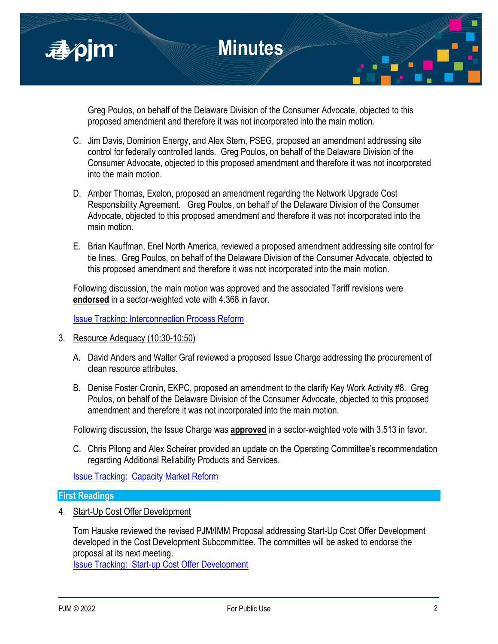

Greg Poulos, on behalf of the Delaware Division of the Consumer Advocate, objected to this proposed amendment and therefore it was not incorporated into the main motion.

- C. Jim Davis, Dominion Energy, and Alex Stern, PSEG, proposed an amendment addressing site control for federally controlled lands. Greg Poulos, on behalf of the Delaware Division of the Consumer Advocate, objected to this proposed amendment and therefore it was not incorporated into the main motion.
- D. Amber Thomas, Exelon, proposed an amendment regarding the Network Upgrade Cost Responsibility Agreement. Greg Poulos, on behalf of the Delaware Division of the Consumer Advocate, objected to this proposed amendment and therefore it was not incorporated into the main motion.
- E. Brian Kauffman, Enel North America, reviewed a proposed amendment addressing site control for tie lines. Greg Poulos, on behalf of the Delaware Division of the Consumer Advocate, objected to this proposed amendment and therefore it was not incorporated into the main motion.

Following discussion, the main motion was approved and the associated Tariff revisions were **endorsed** in a sector-weighted vote with 4.368 in favor.

[Issue Tracking: Interconnection Process Reform](https://www.pjm.com/committees-and-groups/issue-tracking/issue-tracking-details.aspx?Issue=0caa55a8-041c-4365-8a44-46ad2420b148)

- 3. Resource Adequacy (10:30-10:50)
	- A. David Anders and Walter Graf reviewed a proposed Issue Charge addressing the procurement of clean resource attributes.
	- B. Denise Foster Cronin, EKPC, proposed an amendment to the clarify Key Work Activity #8. Greg Poulos, on behalf of the Delaware Division of the Consumer Advocate, objected to this proposed amendment and therefore it was not incorporated into the main motion.

Following discussion, the Issue Charge was **approved** in a sector-weighted vote with 3.513 in favor.

C. Chris Pilong and Alex Scheirer provided an update on the Operating Committee's recommendation regarding Additional Reliability Products and Services.

[Issue Tracking: Capacity Market Reform](https://www.pjm.com/committees-and-groups/issue-tracking/issue-tracking-details.aspx?Issue=d0505dad-6dca-43b3-9334-bd8aba2a16e9)

#### **First Readings**

4. Start-Up Cost Offer Development

Tom Hauske reviewed the revised PJM/IMM Proposal addressing Start-Up Cost Offer Development developed in the Cost Development Subcommittee. The committee will be asked to endorse the proposal at its next meeting.

[Issue Tracking: Start-up Cost Offer Development](https://www.pjm.com/committees-and-groups/issue-tracking/issue-tracking-details.aspx?Issue=46ced1bf-a450-4c80-9199-08ec2be2f4cb)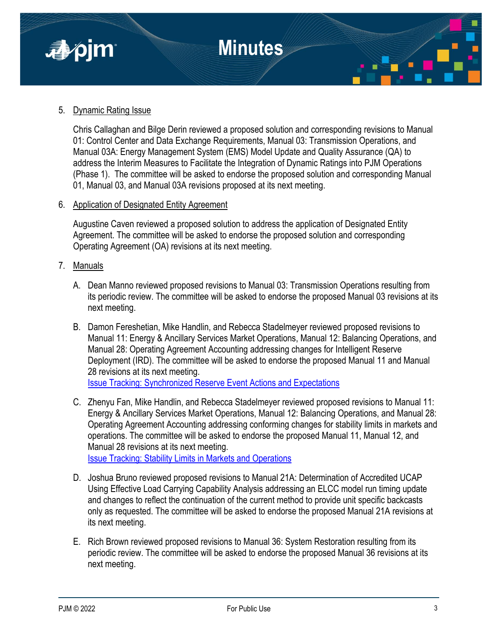

### 5. Dynamic Rating Issue

Chris Callaghan and Bilge Derin reviewed a proposed solution and corresponding revisions to Manual 01: Control Center and Data Exchange Requirements, Manual 03: Transmission Operations, and Manual 03A: Energy Management System (EMS) Model Update and Quality Assurance (QA) to address the Interim Measures to Facilitate the Integration of Dynamic Ratings into PJM Operations (Phase 1). The committee will be asked to endorse the proposed solution and corresponding Manual 01, Manual 03, and Manual 03A revisions proposed at its next meeting.

#### 6. Application of Designated Entity Agreement

Augustine Caven reviewed a proposed solution to address the application of Designated Entity Agreement. The committee will be asked to endorse the proposed solution and corresponding Operating Agreement (OA) revisions at its next meeting.

- 7. Manuals
	- A. Dean Manno reviewed proposed revisions to Manual 03: Transmission Operations resulting from its periodic review. The committee will be asked to endorse the proposed Manual 03 revisions at its next meeting.
	- B. Damon Fereshetian, Mike Handlin, and Rebecca Stadelmeyer reviewed proposed revisions to Manual 11: Energy & Ancillary Services Market Operations, Manual 12: Balancing Operations, and Manual 28: Operating Agreement Accounting addressing changes for Intelligent Reserve Deployment (IRD). The committee will be asked to endorse the proposed Manual 11 and Manual 28 revisions at its next meeting.

[Issue Tracking: Synchronized Reserve Event Actions and Expectations](https://pjm.com/committees-and-groups/issue-tracking/issue-tracking-details.aspx?Issue=88b492a5-1547-4558-a242-456d99b87a37)

- C. Zhenyu Fan, Mike Handlin, and Rebecca Stadelmeyer reviewed proposed revisions to Manual 11: Energy & Ancillary Services Market Operations, Manual 12: Balancing Operations, and Manual 28: Operating Agreement Accounting addressing conforming changes for stability limits in markets and operations. The committee will be asked to endorse the proposed Manual 11, Manual 12, and Manual 28 revisions at its next meeting. [Issue Tracking: Stability Limits in Markets and Operations](https://www.pjm.com/committees-and-groups/issue-tracking/issue-tracking-details.aspx?Issue=e2cf01c5-2504-49d7-8b1a-66b867bba081)
- D. Joshua Bruno reviewed proposed revisions to Manual 21A: Determination of Accredited UCAP Using Effective Load Carrying Capability Analysis addressing an ELCC model run timing update and changes to reflect the continuation of the current method to provide unit specific backcasts only as requested. The committee will be asked to endorse the proposed Manual 21A revisions at its next meeting.
- E. Rich Brown reviewed proposed revisions to Manual 36: System Restoration resulting from its periodic review. The committee will be asked to endorse the proposed Manual 36 revisions at its next meeting.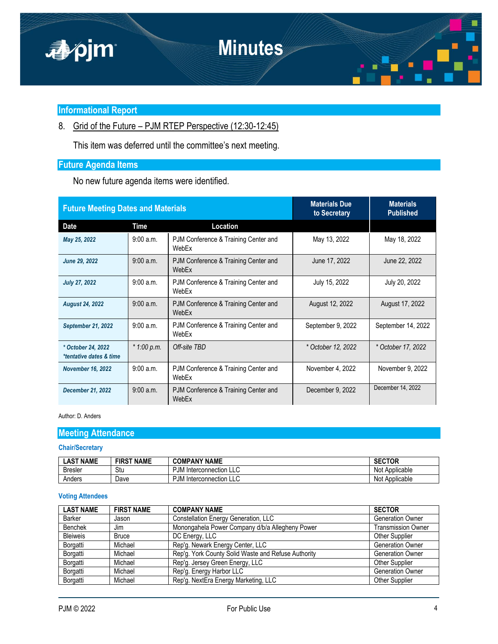

### **Informational Report**

8. Grid of the Future – PJM RTEP Perspective (12:30-12:45)

This item was deferred until the committee's next meeting.

## **Future Agenda Items**

No new future agenda items were identified.

| <b>Future Meeting Dates and Materials</b>     |             |                                               | <b>Materials Due</b><br>to Secretary | <b>Materials</b><br><b>Published</b> |
|-----------------------------------------------|-------------|-----------------------------------------------|--------------------------------------|--------------------------------------|
| Date                                          | Time        | Location                                      |                                      |                                      |
| May 25, 2022                                  | 9:00 a.m.   | PJM Conference & Training Center and<br>WebFx | May 13, 2022                         | May 18, 2022                         |
| June 29, 2022                                 | 9:00 a.m.   | PJM Conference & Training Center and<br>WebFx | June 17, 2022                        | June 22, 2022                        |
| <b>July 27, 2022</b>                          | 9:00 a.m.   | PJM Conference & Training Center and<br>WebFx | July 15, 2022                        | July 20, 2022                        |
| <b>August 24, 2022</b>                        | 9:00 a.m.   | PJM Conference & Training Center and<br>WebEx | August 12, 2022                      | August 17, 2022                      |
| <b>September 21, 2022</b>                     | 9:00a.m.    | PJM Conference & Training Center and<br>WebEx | September 9, 2022                    | September 14, 2022                   |
| * October 24, 2022<br>*tentative dates & time | * 1:00 p.m. | Off-site TBD                                  | * October 12, 2022                   | * October 17, 2022                   |
| <b>November 16, 2022</b>                      | 9:00 a.m.   | PJM Conference & Training Center and<br>WebEx | November 4, 2022                     | November 9, 2022                     |
| <b>December 21, 2022</b>                      | 9:00 a.m.   | PJM Conference & Training Center and<br>WebEx | December 9, 2022                     | December 14, 2022                    |

#### Author: D. Anders

### **Meeting Attendance**

#### **Chair/Secretary**

| <b>_AST NAME</b> | <b>FIRST NAME</b> | <b>COMPANY NAME</b>            | <b>SECTOR</b>         |
|------------------|-------------------|--------------------------------|-----------------------|
| Bresler          | Stu               | υN<br>Interconnection LLC<br>Ð | <br>Not<br>Applicable |
| Anders           | Dave              | ٠JM<br>Interconnection LLC     | <br>Not<br>Applicable |

#### **Voting Attendees**

| <b>LAST NAME</b> | <b>FIRST NAME</b> | <b>COMPANY NAME</b>                                 | <b>SECTOR</b>             |
|------------------|-------------------|-----------------------------------------------------|---------------------------|
| Barker           | Jason             | <b>Constellation Energy Generation, LLC</b>         | <b>Generation Owner</b>   |
| Benchek          | Jim               | Monongahela Power Company d/b/a Allegheny Power     | <b>Transmission Owner</b> |
| <b>Bleiweis</b>  | <b>Bruce</b>      | DC Energy, LLC                                      | <b>Other Supplier</b>     |
| Borgatti         | Michael           | Rep'g. Newark Energy Center, LLC                    | <b>Generation Owner</b>   |
| Borgatti         | Michael           | Rep'g. York County Solid Waste and Refuse Authority | <b>Generation Owner</b>   |
| Borgatti         | Michael           | Rep'g. Jersey Green Energy, LLC                     | <b>Other Supplier</b>     |
| Borgatti         | Michael           | Rep'g. Energy Harbor LLC                            | <b>Generation Owner</b>   |
| Borgatti         | Michael           | Rep'g. NextEra Energy Marketing, LLC                | <b>Other Supplier</b>     |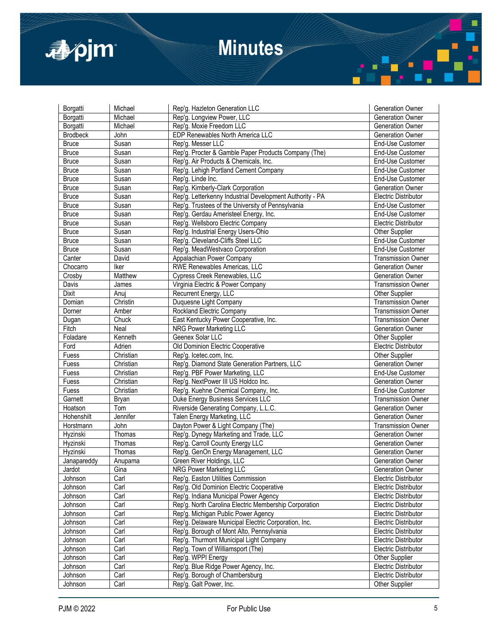

| Generation Owner<br>Borgatti<br>Michael<br>Rep'g. Longview Power, LLC<br>Borgatti<br>Michael<br>Rep'g. Moxie Freedom LLC<br>Generation Owner<br><b>Brodbeck</b><br>John<br>EDP Renewables North America LLC<br>Generation Owner<br>Rep'g. Messer LLC<br><b>Bruce</b><br>Susan<br>End-Use Customer<br>Rep'g. Procter & Gamble Paper Products Company (The)<br>End-Use Customer<br><b>Bruce</b><br>Susan<br>Rep'g. Air Products & Chemicals, Inc.<br><b>Bruce</b><br>End-Use Customer<br>Susan<br><b>Bruce</b><br>Susan<br>Rep'g. Lehigh Portland Cement Company<br>End-Use Customer<br><b>Bruce</b><br>Susan<br>Rep'g. Linde Inc.<br>End-Use Customer<br>Rep'g. Kimberly-Clark Corporation<br><b>Bruce</b><br>Susan<br><b>Generation Owner</b><br>Rep'g. Letterkenny Industrial Development Authority - PA<br><b>Electric Distributor</b><br><b>Bruce</b><br>Susan<br>Rep'g. Trustees of the University of Pennsylvania<br>End-Use Customer<br><b>Bruce</b><br>Susan<br>Rep'g. Gerdau Ameristeel Energy, Inc.<br><b>Bruce</b><br>Susan<br>End-Use Customer<br><b>Bruce</b><br>Susan<br>Rep'g. Wellsboro Electric Company<br><b>Electric Distributor</b><br><b>Bruce</b><br>Rep'g. Industrial Energy Users-Ohio<br>Other Supplier<br>Susan<br><b>Bruce</b><br>Rep'g. Cleveland-Cliffs Steel LLC<br>End-Use Customer<br>Susan<br>Rep'g. MeadWestvaco Corporation<br>End-Use Customer<br><b>Bruce</b><br>Susan<br>Canter<br>David<br>Appalachian Power Company<br><b>Transmission Owner</b><br>Chocarro<br>Iker<br>RWE Renewables Americas, LLC<br><b>Generation Owner</b><br>Matthew<br>Crosby<br>Cypress Creek Renewables, LLC<br>Generation Owner<br>Virginia Electric & Power Company<br><b>Transmission Owner</b><br>Davis<br>James<br><b>Dixit</b><br>Recurrent Energy, LLC<br>Other Supplier<br>Anuj<br>Domian<br>Christin<br>Duquesne Light Company<br><b>Transmission Owner</b><br>Rockland Electric Company<br>Dorner<br>Amber<br><b>Transmission Owner</b><br>East Kentucky Power Cooperative, Inc.<br>Chuck<br><b>Transmission Owner</b><br>Dugan<br>Fitch<br>Generation Owner<br>Neal<br>NRG Power Marketing LLC<br>Geenex Solar LLC<br>Other Supplier<br>Foladare<br>Kenneth<br>Ford<br>Adrien<br>Old Dominion Electric Cooperative<br>Electric Distributor<br>Other Supplier<br>Fuess<br>Christian<br>Rep'g. Icetec.com, Inc.<br>Rep'g. Diamond State Generation Partners, LLC<br>Christian<br>Generation Owner<br>Fuess<br>Rep'g. PBF Power Marketing, LLC<br>Fuess<br>Christian<br>End-Use Customer<br>Rep'g. NextPower III US Holdco Inc.<br>Fuess<br>Christian<br>Generation Owner<br>Fuess<br>Christian<br>Rep'g. Kuehne Chemical Company, Inc.<br>End-Use Customer<br>Garnett<br>Duke Energy Business Services LLC<br><b>Transmission Owner</b><br><b>Bryan</b><br>Generation Owner<br>Hoatson<br>Tom<br>Riverside Generating Company, L.L.C.<br>Hohenshilt<br>Jennifer<br>Talen Energy Marketing, LLC<br><b>Generation Owner</b><br>John<br>Dayton Power & Light Company (The)<br>Horstmann<br><b>Transmission Owner</b><br>Thomas<br>Generation Owner<br>Hyzinski<br>Rep'g. Dynegy Marketing and Trade, LLC<br>Hyzinski<br>Rep'g. Carroll County Energy LLC<br>Generation Owner<br>Thomas<br>Rep'g. GenOn Energy Management, LLC<br>Hyzinski<br>Thomas<br>Generation Owner<br>Green River Holdings, LLC<br><b>Generation Owner</b><br>Janapareddy<br>Anupama<br>NRG Power Marketing LLC<br>Jardot<br>Gina<br><b>Generation Owner</b><br>Carl<br>Rep'g. Easton Utilities Commission<br>Johnson<br>Electric Distributor<br>Johnson<br>Carl<br>Rep'g. Old Dominion Electric Cooperative<br>Electric Distributor<br>Carl<br>Rep'g. Indiana Municipal Power Agency<br>Johnson<br>Electric Distributor<br>Rep'g. North Carolina Electric Membership Corporation<br>Johnson<br>Carl<br>Electric Distributor<br>Carl<br>Johnson<br>Rep'g. Michigan Public Power Agency<br>Electric Distributor<br>Rep'g. Delaware Municipal Electric Corporation, Inc.<br>Johnson<br>Carl<br>Electric Distributor<br>Carl<br>Johnson<br>Rep'g. Borough of Mont Alto, Pennsylvania<br>Electric Distributor<br>Carl<br>Johnson<br>Rep'g. Thurmont Municipal Light Company<br>Electric Distributor<br>Carl<br>Rep'g. Town of Williamsport (The)<br>Electric Distributor<br>Johnson<br>Carl<br>Rep'g. WPPI Energy<br>Other Supplier<br>Johnson<br>Rep'g. Blue Ridge Power Agency, Inc.<br>Electric Distributor<br>Johnson<br>Carl<br>Carl<br>Rep'g. Borough of Chambersburg<br>Electric Distributor<br>Johnson | Borgatti | Michael | Rep'g. Hazleton Generation LLC | <b>Generation Owner</b> |
|-------------------------------------------------------------------------------------------------------------------------------------------------------------------------------------------------------------------------------------------------------------------------------------------------------------------------------------------------------------------------------------------------------------------------------------------------------------------------------------------------------------------------------------------------------------------------------------------------------------------------------------------------------------------------------------------------------------------------------------------------------------------------------------------------------------------------------------------------------------------------------------------------------------------------------------------------------------------------------------------------------------------------------------------------------------------------------------------------------------------------------------------------------------------------------------------------------------------------------------------------------------------------------------------------------------------------------------------------------------------------------------------------------------------------------------------------------------------------------------------------------------------------------------------------------------------------------------------------------------------------------------------------------------------------------------------------------------------------------------------------------------------------------------------------------------------------------------------------------------------------------------------------------------------------------------------------------------------------------------------------------------------------------------------------------------------------------------------------------------------------------------------------------------------------------------------------------------------------------------------------------------------------------------------------------------------------------------------------------------------------------------------------------------------------------------------------------------------------------------------------------------------------------------------------------------------------------------------------------------------------------------------------------------------------------------------------------------------------------------------------------------------------------------------------------------------------------------------------------------------------------------------------------------------------------------------------------------------------------------------------------------------------------------------------------------------------------------------------------------------------------------------------------------------------------------------------------------------------------------------------------------------------------------------------------------------------------------------------------------------------------------------------------------------------------------------------------------------------------------------------------------------------------------------------------------------------------------------------------------------------------------------------------------------------------------------------------------------------------------------------------------------------------------------------------------------------------------------------------------------------------------------------------------------------------------------------------------------------------------------------------------------------------------------------------------------------------------------------------------------------------------------------------------------------------------------------------------------------------------------------------------------------------------------------------------------------------------------------------------------------------------------------------------------------------------------------------------------------------------------------------|----------|---------|--------------------------------|-------------------------|
|                                                                                                                                                                                                                                                                                                                                                                                                                                                                                                                                                                                                                                                                                                                                                                                                                                                                                                                                                                                                                                                                                                                                                                                                                                                                                                                                                                                                                                                                                                                                                                                                                                                                                                                                                                                                                                                                                                                                                                                                                                                                                                                                                                                                                                                                                                                                                                                                                                                                                                                                                                                                                                                                                                                                                                                                                                                                                                                                                                                                                                                                                                                                                                                                                                                                                                                                                                                                                                                                                                                                                                                                                                                                                                                                                                                                                                                                                                                                                                                                                                                                                                                                                                                                                                                                                                                                                                                                                                                                                                       |          |         |                                |                         |
|                                                                                                                                                                                                                                                                                                                                                                                                                                                                                                                                                                                                                                                                                                                                                                                                                                                                                                                                                                                                                                                                                                                                                                                                                                                                                                                                                                                                                                                                                                                                                                                                                                                                                                                                                                                                                                                                                                                                                                                                                                                                                                                                                                                                                                                                                                                                                                                                                                                                                                                                                                                                                                                                                                                                                                                                                                                                                                                                                                                                                                                                                                                                                                                                                                                                                                                                                                                                                                                                                                                                                                                                                                                                                                                                                                                                                                                                                                                                                                                                                                                                                                                                                                                                                                                                                                                                                                                                                                                                                                       |          |         |                                |                         |
|                                                                                                                                                                                                                                                                                                                                                                                                                                                                                                                                                                                                                                                                                                                                                                                                                                                                                                                                                                                                                                                                                                                                                                                                                                                                                                                                                                                                                                                                                                                                                                                                                                                                                                                                                                                                                                                                                                                                                                                                                                                                                                                                                                                                                                                                                                                                                                                                                                                                                                                                                                                                                                                                                                                                                                                                                                                                                                                                                                                                                                                                                                                                                                                                                                                                                                                                                                                                                                                                                                                                                                                                                                                                                                                                                                                                                                                                                                                                                                                                                                                                                                                                                                                                                                                                                                                                                                                                                                                                                                       |          |         |                                |                         |
|                                                                                                                                                                                                                                                                                                                                                                                                                                                                                                                                                                                                                                                                                                                                                                                                                                                                                                                                                                                                                                                                                                                                                                                                                                                                                                                                                                                                                                                                                                                                                                                                                                                                                                                                                                                                                                                                                                                                                                                                                                                                                                                                                                                                                                                                                                                                                                                                                                                                                                                                                                                                                                                                                                                                                                                                                                                                                                                                                                                                                                                                                                                                                                                                                                                                                                                                                                                                                                                                                                                                                                                                                                                                                                                                                                                                                                                                                                                                                                                                                                                                                                                                                                                                                                                                                                                                                                                                                                                                                                       |          |         |                                |                         |
|                                                                                                                                                                                                                                                                                                                                                                                                                                                                                                                                                                                                                                                                                                                                                                                                                                                                                                                                                                                                                                                                                                                                                                                                                                                                                                                                                                                                                                                                                                                                                                                                                                                                                                                                                                                                                                                                                                                                                                                                                                                                                                                                                                                                                                                                                                                                                                                                                                                                                                                                                                                                                                                                                                                                                                                                                                                                                                                                                                                                                                                                                                                                                                                                                                                                                                                                                                                                                                                                                                                                                                                                                                                                                                                                                                                                                                                                                                                                                                                                                                                                                                                                                                                                                                                                                                                                                                                                                                                                                                       |          |         |                                |                         |
|                                                                                                                                                                                                                                                                                                                                                                                                                                                                                                                                                                                                                                                                                                                                                                                                                                                                                                                                                                                                                                                                                                                                                                                                                                                                                                                                                                                                                                                                                                                                                                                                                                                                                                                                                                                                                                                                                                                                                                                                                                                                                                                                                                                                                                                                                                                                                                                                                                                                                                                                                                                                                                                                                                                                                                                                                                                                                                                                                                                                                                                                                                                                                                                                                                                                                                                                                                                                                                                                                                                                                                                                                                                                                                                                                                                                                                                                                                                                                                                                                                                                                                                                                                                                                                                                                                                                                                                                                                                                                                       |          |         |                                |                         |
|                                                                                                                                                                                                                                                                                                                                                                                                                                                                                                                                                                                                                                                                                                                                                                                                                                                                                                                                                                                                                                                                                                                                                                                                                                                                                                                                                                                                                                                                                                                                                                                                                                                                                                                                                                                                                                                                                                                                                                                                                                                                                                                                                                                                                                                                                                                                                                                                                                                                                                                                                                                                                                                                                                                                                                                                                                                                                                                                                                                                                                                                                                                                                                                                                                                                                                                                                                                                                                                                                                                                                                                                                                                                                                                                                                                                                                                                                                                                                                                                                                                                                                                                                                                                                                                                                                                                                                                                                                                                                                       |          |         |                                |                         |
|                                                                                                                                                                                                                                                                                                                                                                                                                                                                                                                                                                                                                                                                                                                                                                                                                                                                                                                                                                                                                                                                                                                                                                                                                                                                                                                                                                                                                                                                                                                                                                                                                                                                                                                                                                                                                                                                                                                                                                                                                                                                                                                                                                                                                                                                                                                                                                                                                                                                                                                                                                                                                                                                                                                                                                                                                                                                                                                                                                                                                                                                                                                                                                                                                                                                                                                                                                                                                                                                                                                                                                                                                                                                                                                                                                                                                                                                                                                                                                                                                                                                                                                                                                                                                                                                                                                                                                                                                                                                                                       |          |         |                                |                         |
|                                                                                                                                                                                                                                                                                                                                                                                                                                                                                                                                                                                                                                                                                                                                                                                                                                                                                                                                                                                                                                                                                                                                                                                                                                                                                                                                                                                                                                                                                                                                                                                                                                                                                                                                                                                                                                                                                                                                                                                                                                                                                                                                                                                                                                                                                                                                                                                                                                                                                                                                                                                                                                                                                                                                                                                                                                                                                                                                                                                                                                                                                                                                                                                                                                                                                                                                                                                                                                                                                                                                                                                                                                                                                                                                                                                                                                                                                                                                                                                                                                                                                                                                                                                                                                                                                                                                                                                                                                                                                                       |          |         |                                |                         |
|                                                                                                                                                                                                                                                                                                                                                                                                                                                                                                                                                                                                                                                                                                                                                                                                                                                                                                                                                                                                                                                                                                                                                                                                                                                                                                                                                                                                                                                                                                                                                                                                                                                                                                                                                                                                                                                                                                                                                                                                                                                                                                                                                                                                                                                                                                                                                                                                                                                                                                                                                                                                                                                                                                                                                                                                                                                                                                                                                                                                                                                                                                                                                                                                                                                                                                                                                                                                                                                                                                                                                                                                                                                                                                                                                                                                                                                                                                                                                                                                                                                                                                                                                                                                                                                                                                                                                                                                                                                                                                       |          |         |                                |                         |
|                                                                                                                                                                                                                                                                                                                                                                                                                                                                                                                                                                                                                                                                                                                                                                                                                                                                                                                                                                                                                                                                                                                                                                                                                                                                                                                                                                                                                                                                                                                                                                                                                                                                                                                                                                                                                                                                                                                                                                                                                                                                                                                                                                                                                                                                                                                                                                                                                                                                                                                                                                                                                                                                                                                                                                                                                                                                                                                                                                                                                                                                                                                                                                                                                                                                                                                                                                                                                                                                                                                                                                                                                                                                                                                                                                                                                                                                                                                                                                                                                                                                                                                                                                                                                                                                                                                                                                                                                                                                                                       |          |         |                                |                         |
|                                                                                                                                                                                                                                                                                                                                                                                                                                                                                                                                                                                                                                                                                                                                                                                                                                                                                                                                                                                                                                                                                                                                                                                                                                                                                                                                                                                                                                                                                                                                                                                                                                                                                                                                                                                                                                                                                                                                                                                                                                                                                                                                                                                                                                                                                                                                                                                                                                                                                                                                                                                                                                                                                                                                                                                                                                                                                                                                                                                                                                                                                                                                                                                                                                                                                                                                                                                                                                                                                                                                                                                                                                                                                                                                                                                                                                                                                                                                                                                                                                                                                                                                                                                                                                                                                                                                                                                                                                                                                                       |          |         |                                |                         |
|                                                                                                                                                                                                                                                                                                                                                                                                                                                                                                                                                                                                                                                                                                                                                                                                                                                                                                                                                                                                                                                                                                                                                                                                                                                                                                                                                                                                                                                                                                                                                                                                                                                                                                                                                                                                                                                                                                                                                                                                                                                                                                                                                                                                                                                                                                                                                                                                                                                                                                                                                                                                                                                                                                                                                                                                                                                                                                                                                                                                                                                                                                                                                                                                                                                                                                                                                                                                                                                                                                                                                                                                                                                                                                                                                                                                                                                                                                                                                                                                                                                                                                                                                                                                                                                                                                                                                                                                                                                                                                       |          |         |                                |                         |
|                                                                                                                                                                                                                                                                                                                                                                                                                                                                                                                                                                                                                                                                                                                                                                                                                                                                                                                                                                                                                                                                                                                                                                                                                                                                                                                                                                                                                                                                                                                                                                                                                                                                                                                                                                                                                                                                                                                                                                                                                                                                                                                                                                                                                                                                                                                                                                                                                                                                                                                                                                                                                                                                                                                                                                                                                                                                                                                                                                                                                                                                                                                                                                                                                                                                                                                                                                                                                                                                                                                                                                                                                                                                                                                                                                                                                                                                                                                                                                                                                                                                                                                                                                                                                                                                                                                                                                                                                                                                                                       |          |         |                                |                         |
|                                                                                                                                                                                                                                                                                                                                                                                                                                                                                                                                                                                                                                                                                                                                                                                                                                                                                                                                                                                                                                                                                                                                                                                                                                                                                                                                                                                                                                                                                                                                                                                                                                                                                                                                                                                                                                                                                                                                                                                                                                                                                                                                                                                                                                                                                                                                                                                                                                                                                                                                                                                                                                                                                                                                                                                                                                                                                                                                                                                                                                                                                                                                                                                                                                                                                                                                                                                                                                                                                                                                                                                                                                                                                                                                                                                                                                                                                                                                                                                                                                                                                                                                                                                                                                                                                                                                                                                                                                                                                                       |          |         |                                |                         |
|                                                                                                                                                                                                                                                                                                                                                                                                                                                                                                                                                                                                                                                                                                                                                                                                                                                                                                                                                                                                                                                                                                                                                                                                                                                                                                                                                                                                                                                                                                                                                                                                                                                                                                                                                                                                                                                                                                                                                                                                                                                                                                                                                                                                                                                                                                                                                                                                                                                                                                                                                                                                                                                                                                                                                                                                                                                                                                                                                                                                                                                                                                                                                                                                                                                                                                                                                                                                                                                                                                                                                                                                                                                                                                                                                                                                                                                                                                                                                                                                                                                                                                                                                                                                                                                                                                                                                                                                                                                                                                       |          |         |                                |                         |
|                                                                                                                                                                                                                                                                                                                                                                                                                                                                                                                                                                                                                                                                                                                                                                                                                                                                                                                                                                                                                                                                                                                                                                                                                                                                                                                                                                                                                                                                                                                                                                                                                                                                                                                                                                                                                                                                                                                                                                                                                                                                                                                                                                                                                                                                                                                                                                                                                                                                                                                                                                                                                                                                                                                                                                                                                                                                                                                                                                                                                                                                                                                                                                                                                                                                                                                                                                                                                                                                                                                                                                                                                                                                                                                                                                                                                                                                                                                                                                                                                                                                                                                                                                                                                                                                                                                                                                                                                                                                                                       |          |         |                                |                         |
|                                                                                                                                                                                                                                                                                                                                                                                                                                                                                                                                                                                                                                                                                                                                                                                                                                                                                                                                                                                                                                                                                                                                                                                                                                                                                                                                                                                                                                                                                                                                                                                                                                                                                                                                                                                                                                                                                                                                                                                                                                                                                                                                                                                                                                                                                                                                                                                                                                                                                                                                                                                                                                                                                                                                                                                                                                                                                                                                                                                                                                                                                                                                                                                                                                                                                                                                                                                                                                                                                                                                                                                                                                                                                                                                                                                                                                                                                                                                                                                                                                                                                                                                                                                                                                                                                                                                                                                                                                                                                                       |          |         |                                |                         |
|                                                                                                                                                                                                                                                                                                                                                                                                                                                                                                                                                                                                                                                                                                                                                                                                                                                                                                                                                                                                                                                                                                                                                                                                                                                                                                                                                                                                                                                                                                                                                                                                                                                                                                                                                                                                                                                                                                                                                                                                                                                                                                                                                                                                                                                                                                                                                                                                                                                                                                                                                                                                                                                                                                                                                                                                                                                                                                                                                                                                                                                                                                                                                                                                                                                                                                                                                                                                                                                                                                                                                                                                                                                                                                                                                                                                                                                                                                                                                                                                                                                                                                                                                                                                                                                                                                                                                                                                                                                                                                       |          |         |                                |                         |
|                                                                                                                                                                                                                                                                                                                                                                                                                                                                                                                                                                                                                                                                                                                                                                                                                                                                                                                                                                                                                                                                                                                                                                                                                                                                                                                                                                                                                                                                                                                                                                                                                                                                                                                                                                                                                                                                                                                                                                                                                                                                                                                                                                                                                                                                                                                                                                                                                                                                                                                                                                                                                                                                                                                                                                                                                                                                                                                                                                                                                                                                                                                                                                                                                                                                                                                                                                                                                                                                                                                                                                                                                                                                                                                                                                                                                                                                                                                                                                                                                                                                                                                                                                                                                                                                                                                                                                                                                                                                                                       |          |         |                                |                         |
|                                                                                                                                                                                                                                                                                                                                                                                                                                                                                                                                                                                                                                                                                                                                                                                                                                                                                                                                                                                                                                                                                                                                                                                                                                                                                                                                                                                                                                                                                                                                                                                                                                                                                                                                                                                                                                                                                                                                                                                                                                                                                                                                                                                                                                                                                                                                                                                                                                                                                                                                                                                                                                                                                                                                                                                                                                                                                                                                                                                                                                                                                                                                                                                                                                                                                                                                                                                                                                                                                                                                                                                                                                                                                                                                                                                                                                                                                                                                                                                                                                                                                                                                                                                                                                                                                                                                                                                                                                                                                                       |          |         |                                |                         |
|                                                                                                                                                                                                                                                                                                                                                                                                                                                                                                                                                                                                                                                                                                                                                                                                                                                                                                                                                                                                                                                                                                                                                                                                                                                                                                                                                                                                                                                                                                                                                                                                                                                                                                                                                                                                                                                                                                                                                                                                                                                                                                                                                                                                                                                                                                                                                                                                                                                                                                                                                                                                                                                                                                                                                                                                                                                                                                                                                                                                                                                                                                                                                                                                                                                                                                                                                                                                                                                                                                                                                                                                                                                                                                                                                                                                                                                                                                                                                                                                                                                                                                                                                                                                                                                                                                                                                                                                                                                                                                       |          |         |                                |                         |
|                                                                                                                                                                                                                                                                                                                                                                                                                                                                                                                                                                                                                                                                                                                                                                                                                                                                                                                                                                                                                                                                                                                                                                                                                                                                                                                                                                                                                                                                                                                                                                                                                                                                                                                                                                                                                                                                                                                                                                                                                                                                                                                                                                                                                                                                                                                                                                                                                                                                                                                                                                                                                                                                                                                                                                                                                                                                                                                                                                                                                                                                                                                                                                                                                                                                                                                                                                                                                                                                                                                                                                                                                                                                                                                                                                                                                                                                                                                                                                                                                                                                                                                                                                                                                                                                                                                                                                                                                                                                                                       |          |         |                                |                         |
|                                                                                                                                                                                                                                                                                                                                                                                                                                                                                                                                                                                                                                                                                                                                                                                                                                                                                                                                                                                                                                                                                                                                                                                                                                                                                                                                                                                                                                                                                                                                                                                                                                                                                                                                                                                                                                                                                                                                                                                                                                                                                                                                                                                                                                                                                                                                                                                                                                                                                                                                                                                                                                                                                                                                                                                                                                                                                                                                                                                                                                                                                                                                                                                                                                                                                                                                                                                                                                                                                                                                                                                                                                                                                                                                                                                                                                                                                                                                                                                                                                                                                                                                                                                                                                                                                                                                                                                                                                                                                                       |          |         |                                |                         |
|                                                                                                                                                                                                                                                                                                                                                                                                                                                                                                                                                                                                                                                                                                                                                                                                                                                                                                                                                                                                                                                                                                                                                                                                                                                                                                                                                                                                                                                                                                                                                                                                                                                                                                                                                                                                                                                                                                                                                                                                                                                                                                                                                                                                                                                                                                                                                                                                                                                                                                                                                                                                                                                                                                                                                                                                                                                                                                                                                                                                                                                                                                                                                                                                                                                                                                                                                                                                                                                                                                                                                                                                                                                                                                                                                                                                                                                                                                                                                                                                                                                                                                                                                                                                                                                                                                                                                                                                                                                                                                       |          |         |                                |                         |
|                                                                                                                                                                                                                                                                                                                                                                                                                                                                                                                                                                                                                                                                                                                                                                                                                                                                                                                                                                                                                                                                                                                                                                                                                                                                                                                                                                                                                                                                                                                                                                                                                                                                                                                                                                                                                                                                                                                                                                                                                                                                                                                                                                                                                                                                                                                                                                                                                                                                                                                                                                                                                                                                                                                                                                                                                                                                                                                                                                                                                                                                                                                                                                                                                                                                                                                                                                                                                                                                                                                                                                                                                                                                                                                                                                                                                                                                                                                                                                                                                                                                                                                                                                                                                                                                                                                                                                                                                                                                                                       |          |         |                                |                         |
|                                                                                                                                                                                                                                                                                                                                                                                                                                                                                                                                                                                                                                                                                                                                                                                                                                                                                                                                                                                                                                                                                                                                                                                                                                                                                                                                                                                                                                                                                                                                                                                                                                                                                                                                                                                                                                                                                                                                                                                                                                                                                                                                                                                                                                                                                                                                                                                                                                                                                                                                                                                                                                                                                                                                                                                                                                                                                                                                                                                                                                                                                                                                                                                                                                                                                                                                                                                                                                                                                                                                                                                                                                                                                                                                                                                                                                                                                                                                                                                                                                                                                                                                                                                                                                                                                                                                                                                                                                                                                                       |          |         |                                |                         |
|                                                                                                                                                                                                                                                                                                                                                                                                                                                                                                                                                                                                                                                                                                                                                                                                                                                                                                                                                                                                                                                                                                                                                                                                                                                                                                                                                                                                                                                                                                                                                                                                                                                                                                                                                                                                                                                                                                                                                                                                                                                                                                                                                                                                                                                                                                                                                                                                                                                                                                                                                                                                                                                                                                                                                                                                                                                                                                                                                                                                                                                                                                                                                                                                                                                                                                                                                                                                                                                                                                                                                                                                                                                                                                                                                                                                                                                                                                                                                                                                                                                                                                                                                                                                                                                                                                                                                                                                                                                                                                       |          |         |                                |                         |
|                                                                                                                                                                                                                                                                                                                                                                                                                                                                                                                                                                                                                                                                                                                                                                                                                                                                                                                                                                                                                                                                                                                                                                                                                                                                                                                                                                                                                                                                                                                                                                                                                                                                                                                                                                                                                                                                                                                                                                                                                                                                                                                                                                                                                                                                                                                                                                                                                                                                                                                                                                                                                                                                                                                                                                                                                                                                                                                                                                                                                                                                                                                                                                                                                                                                                                                                                                                                                                                                                                                                                                                                                                                                                                                                                                                                                                                                                                                                                                                                                                                                                                                                                                                                                                                                                                                                                                                                                                                                                                       |          |         |                                |                         |
|                                                                                                                                                                                                                                                                                                                                                                                                                                                                                                                                                                                                                                                                                                                                                                                                                                                                                                                                                                                                                                                                                                                                                                                                                                                                                                                                                                                                                                                                                                                                                                                                                                                                                                                                                                                                                                                                                                                                                                                                                                                                                                                                                                                                                                                                                                                                                                                                                                                                                                                                                                                                                                                                                                                                                                                                                                                                                                                                                                                                                                                                                                                                                                                                                                                                                                                                                                                                                                                                                                                                                                                                                                                                                                                                                                                                                                                                                                                                                                                                                                                                                                                                                                                                                                                                                                                                                                                                                                                                                                       |          |         |                                |                         |
|                                                                                                                                                                                                                                                                                                                                                                                                                                                                                                                                                                                                                                                                                                                                                                                                                                                                                                                                                                                                                                                                                                                                                                                                                                                                                                                                                                                                                                                                                                                                                                                                                                                                                                                                                                                                                                                                                                                                                                                                                                                                                                                                                                                                                                                                                                                                                                                                                                                                                                                                                                                                                                                                                                                                                                                                                                                                                                                                                                                                                                                                                                                                                                                                                                                                                                                                                                                                                                                                                                                                                                                                                                                                                                                                                                                                                                                                                                                                                                                                                                                                                                                                                                                                                                                                                                                                                                                                                                                                                                       |          |         |                                |                         |
|                                                                                                                                                                                                                                                                                                                                                                                                                                                                                                                                                                                                                                                                                                                                                                                                                                                                                                                                                                                                                                                                                                                                                                                                                                                                                                                                                                                                                                                                                                                                                                                                                                                                                                                                                                                                                                                                                                                                                                                                                                                                                                                                                                                                                                                                                                                                                                                                                                                                                                                                                                                                                                                                                                                                                                                                                                                                                                                                                                                                                                                                                                                                                                                                                                                                                                                                                                                                                                                                                                                                                                                                                                                                                                                                                                                                                                                                                                                                                                                                                                                                                                                                                                                                                                                                                                                                                                                                                                                                                                       |          |         |                                |                         |
|                                                                                                                                                                                                                                                                                                                                                                                                                                                                                                                                                                                                                                                                                                                                                                                                                                                                                                                                                                                                                                                                                                                                                                                                                                                                                                                                                                                                                                                                                                                                                                                                                                                                                                                                                                                                                                                                                                                                                                                                                                                                                                                                                                                                                                                                                                                                                                                                                                                                                                                                                                                                                                                                                                                                                                                                                                                                                                                                                                                                                                                                                                                                                                                                                                                                                                                                                                                                                                                                                                                                                                                                                                                                                                                                                                                                                                                                                                                                                                                                                                                                                                                                                                                                                                                                                                                                                                                                                                                                                                       |          |         |                                |                         |
|                                                                                                                                                                                                                                                                                                                                                                                                                                                                                                                                                                                                                                                                                                                                                                                                                                                                                                                                                                                                                                                                                                                                                                                                                                                                                                                                                                                                                                                                                                                                                                                                                                                                                                                                                                                                                                                                                                                                                                                                                                                                                                                                                                                                                                                                                                                                                                                                                                                                                                                                                                                                                                                                                                                                                                                                                                                                                                                                                                                                                                                                                                                                                                                                                                                                                                                                                                                                                                                                                                                                                                                                                                                                                                                                                                                                                                                                                                                                                                                                                                                                                                                                                                                                                                                                                                                                                                                                                                                                                                       |          |         |                                |                         |
|                                                                                                                                                                                                                                                                                                                                                                                                                                                                                                                                                                                                                                                                                                                                                                                                                                                                                                                                                                                                                                                                                                                                                                                                                                                                                                                                                                                                                                                                                                                                                                                                                                                                                                                                                                                                                                                                                                                                                                                                                                                                                                                                                                                                                                                                                                                                                                                                                                                                                                                                                                                                                                                                                                                                                                                                                                                                                                                                                                                                                                                                                                                                                                                                                                                                                                                                                                                                                                                                                                                                                                                                                                                                                                                                                                                                                                                                                                                                                                                                                                                                                                                                                                                                                                                                                                                                                                                                                                                                                                       |          |         |                                |                         |
|                                                                                                                                                                                                                                                                                                                                                                                                                                                                                                                                                                                                                                                                                                                                                                                                                                                                                                                                                                                                                                                                                                                                                                                                                                                                                                                                                                                                                                                                                                                                                                                                                                                                                                                                                                                                                                                                                                                                                                                                                                                                                                                                                                                                                                                                                                                                                                                                                                                                                                                                                                                                                                                                                                                                                                                                                                                                                                                                                                                                                                                                                                                                                                                                                                                                                                                                                                                                                                                                                                                                                                                                                                                                                                                                                                                                                                                                                                                                                                                                                                                                                                                                                                                                                                                                                                                                                                                                                                                                                                       |          |         |                                |                         |
|                                                                                                                                                                                                                                                                                                                                                                                                                                                                                                                                                                                                                                                                                                                                                                                                                                                                                                                                                                                                                                                                                                                                                                                                                                                                                                                                                                                                                                                                                                                                                                                                                                                                                                                                                                                                                                                                                                                                                                                                                                                                                                                                                                                                                                                                                                                                                                                                                                                                                                                                                                                                                                                                                                                                                                                                                                                                                                                                                                                                                                                                                                                                                                                                                                                                                                                                                                                                                                                                                                                                                                                                                                                                                                                                                                                                                                                                                                                                                                                                                                                                                                                                                                                                                                                                                                                                                                                                                                                                                                       |          |         |                                |                         |
|                                                                                                                                                                                                                                                                                                                                                                                                                                                                                                                                                                                                                                                                                                                                                                                                                                                                                                                                                                                                                                                                                                                                                                                                                                                                                                                                                                                                                                                                                                                                                                                                                                                                                                                                                                                                                                                                                                                                                                                                                                                                                                                                                                                                                                                                                                                                                                                                                                                                                                                                                                                                                                                                                                                                                                                                                                                                                                                                                                                                                                                                                                                                                                                                                                                                                                                                                                                                                                                                                                                                                                                                                                                                                                                                                                                                                                                                                                                                                                                                                                                                                                                                                                                                                                                                                                                                                                                                                                                                                                       |          |         |                                |                         |
|                                                                                                                                                                                                                                                                                                                                                                                                                                                                                                                                                                                                                                                                                                                                                                                                                                                                                                                                                                                                                                                                                                                                                                                                                                                                                                                                                                                                                                                                                                                                                                                                                                                                                                                                                                                                                                                                                                                                                                                                                                                                                                                                                                                                                                                                                                                                                                                                                                                                                                                                                                                                                                                                                                                                                                                                                                                                                                                                                                                                                                                                                                                                                                                                                                                                                                                                                                                                                                                                                                                                                                                                                                                                                                                                                                                                                                                                                                                                                                                                                                                                                                                                                                                                                                                                                                                                                                                                                                                                                                       |          |         |                                |                         |
|                                                                                                                                                                                                                                                                                                                                                                                                                                                                                                                                                                                                                                                                                                                                                                                                                                                                                                                                                                                                                                                                                                                                                                                                                                                                                                                                                                                                                                                                                                                                                                                                                                                                                                                                                                                                                                                                                                                                                                                                                                                                                                                                                                                                                                                                                                                                                                                                                                                                                                                                                                                                                                                                                                                                                                                                                                                                                                                                                                                                                                                                                                                                                                                                                                                                                                                                                                                                                                                                                                                                                                                                                                                                                                                                                                                                                                                                                                                                                                                                                                                                                                                                                                                                                                                                                                                                                                                                                                                                                                       |          |         |                                |                         |
|                                                                                                                                                                                                                                                                                                                                                                                                                                                                                                                                                                                                                                                                                                                                                                                                                                                                                                                                                                                                                                                                                                                                                                                                                                                                                                                                                                                                                                                                                                                                                                                                                                                                                                                                                                                                                                                                                                                                                                                                                                                                                                                                                                                                                                                                                                                                                                                                                                                                                                                                                                                                                                                                                                                                                                                                                                                                                                                                                                                                                                                                                                                                                                                                                                                                                                                                                                                                                                                                                                                                                                                                                                                                                                                                                                                                                                                                                                                                                                                                                                                                                                                                                                                                                                                                                                                                                                                                                                                                                                       |          |         |                                |                         |
|                                                                                                                                                                                                                                                                                                                                                                                                                                                                                                                                                                                                                                                                                                                                                                                                                                                                                                                                                                                                                                                                                                                                                                                                                                                                                                                                                                                                                                                                                                                                                                                                                                                                                                                                                                                                                                                                                                                                                                                                                                                                                                                                                                                                                                                                                                                                                                                                                                                                                                                                                                                                                                                                                                                                                                                                                                                                                                                                                                                                                                                                                                                                                                                                                                                                                                                                                                                                                                                                                                                                                                                                                                                                                                                                                                                                                                                                                                                                                                                                                                                                                                                                                                                                                                                                                                                                                                                                                                                                                                       |          |         |                                |                         |
|                                                                                                                                                                                                                                                                                                                                                                                                                                                                                                                                                                                                                                                                                                                                                                                                                                                                                                                                                                                                                                                                                                                                                                                                                                                                                                                                                                                                                                                                                                                                                                                                                                                                                                                                                                                                                                                                                                                                                                                                                                                                                                                                                                                                                                                                                                                                                                                                                                                                                                                                                                                                                                                                                                                                                                                                                                                                                                                                                                                                                                                                                                                                                                                                                                                                                                                                                                                                                                                                                                                                                                                                                                                                                                                                                                                                                                                                                                                                                                                                                                                                                                                                                                                                                                                                                                                                                                                                                                                                                                       |          |         |                                |                         |
|                                                                                                                                                                                                                                                                                                                                                                                                                                                                                                                                                                                                                                                                                                                                                                                                                                                                                                                                                                                                                                                                                                                                                                                                                                                                                                                                                                                                                                                                                                                                                                                                                                                                                                                                                                                                                                                                                                                                                                                                                                                                                                                                                                                                                                                                                                                                                                                                                                                                                                                                                                                                                                                                                                                                                                                                                                                                                                                                                                                                                                                                                                                                                                                                                                                                                                                                                                                                                                                                                                                                                                                                                                                                                                                                                                                                                                                                                                                                                                                                                                                                                                                                                                                                                                                                                                                                                                                                                                                                                                       |          |         |                                |                         |
|                                                                                                                                                                                                                                                                                                                                                                                                                                                                                                                                                                                                                                                                                                                                                                                                                                                                                                                                                                                                                                                                                                                                                                                                                                                                                                                                                                                                                                                                                                                                                                                                                                                                                                                                                                                                                                                                                                                                                                                                                                                                                                                                                                                                                                                                                                                                                                                                                                                                                                                                                                                                                                                                                                                                                                                                                                                                                                                                                                                                                                                                                                                                                                                                                                                                                                                                                                                                                                                                                                                                                                                                                                                                                                                                                                                                                                                                                                                                                                                                                                                                                                                                                                                                                                                                                                                                                                                                                                                                                                       |          |         |                                |                         |
|                                                                                                                                                                                                                                                                                                                                                                                                                                                                                                                                                                                                                                                                                                                                                                                                                                                                                                                                                                                                                                                                                                                                                                                                                                                                                                                                                                                                                                                                                                                                                                                                                                                                                                                                                                                                                                                                                                                                                                                                                                                                                                                                                                                                                                                                                                                                                                                                                                                                                                                                                                                                                                                                                                                                                                                                                                                                                                                                                                                                                                                                                                                                                                                                                                                                                                                                                                                                                                                                                                                                                                                                                                                                                                                                                                                                                                                                                                                                                                                                                                                                                                                                                                                                                                                                                                                                                                                                                                                                                                       |          |         |                                |                         |
|                                                                                                                                                                                                                                                                                                                                                                                                                                                                                                                                                                                                                                                                                                                                                                                                                                                                                                                                                                                                                                                                                                                                                                                                                                                                                                                                                                                                                                                                                                                                                                                                                                                                                                                                                                                                                                                                                                                                                                                                                                                                                                                                                                                                                                                                                                                                                                                                                                                                                                                                                                                                                                                                                                                                                                                                                                                                                                                                                                                                                                                                                                                                                                                                                                                                                                                                                                                                                                                                                                                                                                                                                                                                                                                                                                                                                                                                                                                                                                                                                                                                                                                                                                                                                                                                                                                                                                                                                                                                                                       |          |         |                                |                         |
|                                                                                                                                                                                                                                                                                                                                                                                                                                                                                                                                                                                                                                                                                                                                                                                                                                                                                                                                                                                                                                                                                                                                                                                                                                                                                                                                                                                                                                                                                                                                                                                                                                                                                                                                                                                                                                                                                                                                                                                                                                                                                                                                                                                                                                                                                                                                                                                                                                                                                                                                                                                                                                                                                                                                                                                                                                                                                                                                                                                                                                                                                                                                                                                                                                                                                                                                                                                                                                                                                                                                                                                                                                                                                                                                                                                                                                                                                                                                                                                                                                                                                                                                                                                                                                                                                                                                                                                                                                                                                                       |          |         |                                |                         |
|                                                                                                                                                                                                                                                                                                                                                                                                                                                                                                                                                                                                                                                                                                                                                                                                                                                                                                                                                                                                                                                                                                                                                                                                                                                                                                                                                                                                                                                                                                                                                                                                                                                                                                                                                                                                                                                                                                                                                                                                                                                                                                                                                                                                                                                                                                                                                                                                                                                                                                                                                                                                                                                                                                                                                                                                                                                                                                                                                                                                                                                                                                                                                                                                                                                                                                                                                                                                                                                                                                                                                                                                                                                                                                                                                                                                                                                                                                                                                                                                                                                                                                                                                                                                                                                                                                                                                                                                                                                                                                       |          |         |                                |                         |
|                                                                                                                                                                                                                                                                                                                                                                                                                                                                                                                                                                                                                                                                                                                                                                                                                                                                                                                                                                                                                                                                                                                                                                                                                                                                                                                                                                                                                                                                                                                                                                                                                                                                                                                                                                                                                                                                                                                                                                                                                                                                                                                                                                                                                                                                                                                                                                                                                                                                                                                                                                                                                                                                                                                                                                                                                                                                                                                                                                                                                                                                                                                                                                                                                                                                                                                                                                                                                                                                                                                                                                                                                                                                                                                                                                                                                                                                                                                                                                                                                                                                                                                                                                                                                                                                                                                                                                                                                                                                                                       |          |         |                                |                         |
|                                                                                                                                                                                                                                                                                                                                                                                                                                                                                                                                                                                                                                                                                                                                                                                                                                                                                                                                                                                                                                                                                                                                                                                                                                                                                                                                                                                                                                                                                                                                                                                                                                                                                                                                                                                                                                                                                                                                                                                                                                                                                                                                                                                                                                                                                                                                                                                                                                                                                                                                                                                                                                                                                                                                                                                                                                                                                                                                                                                                                                                                                                                                                                                                                                                                                                                                                                                                                                                                                                                                                                                                                                                                                                                                                                                                                                                                                                                                                                                                                                                                                                                                                                                                                                                                                                                                                                                                                                                                                                       |          |         |                                |                         |
|                                                                                                                                                                                                                                                                                                                                                                                                                                                                                                                                                                                                                                                                                                                                                                                                                                                                                                                                                                                                                                                                                                                                                                                                                                                                                                                                                                                                                                                                                                                                                                                                                                                                                                                                                                                                                                                                                                                                                                                                                                                                                                                                                                                                                                                                                                                                                                                                                                                                                                                                                                                                                                                                                                                                                                                                                                                                                                                                                                                                                                                                                                                                                                                                                                                                                                                                                                                                                                                                                                                                                                                                                                                                                                                                                                                                                                                                                                                                                                                                                                                                                                                                                                                                                                                                                                                                                                                                                                                                                                       |          |         |                                |                         |
|                                                                                                                                                                                                                                                                                                                                                                                                                                                                                                                                                                                                                                                                                                                                                                                                                                                                                                                                                                                                                                                                                                                                                                                                                                                                                                                                                                                                                                                                                                                                                                                                                                                                                                                                                                                                                                                                                                                                                                                                                                                                                                                                                                                                                                                                                                                                                                                                                                                                                                                                                                                                                                                                                                                                                                                                                                                                                                                                                                                                                                                                                                                                                                                                                                                                                                                                                                                                                                                                                                                                                                                                                                                                                                                                                                                                                                                                                                                                                                                                                                                                                                                                                                                                                                                                                                                                                                                                                                                                                                       |          |         |                                |                         |
|                                                                                                                                                                                                                                                                                                                                                                                                                                                                                                                                                                                                                                                                                                                                                                                                                                                                                                                                                                                                                                                                                                                                                                                                                                                                                                                                                                                                                                                                                                                                                                                                                                                                                                                                                                                                                                                                                                                                                                                                                                                                                                                                                                                                                                                                                                                                                                                                                                                                                                                                                                                                                                                                                                                                                                                                                                                                                                                                                                                                                                                                                                                                                                                                                                                                                                                                                                                                                                                                                                                                                                                                                                                                                                                                                                                                                                                                                                                                                                                                                                                                                                                                                                                                                                                                                                                                                                                                                                                                                                       |          |         |                                |                         |
|                                                                                                                                                                                                                                                                                                                                                                                                                                                                                                                                                                                                                                                                                                                                                                                                                                                                                                                                                                                                                                                                                                                                                                                                                                                                                                                                                                                                                                                                                                                                                                                                                                                                                                                                                                                                                                                                                                                                                                                                                                                                                                                                                                                                                                                                                                                                                                                                                                                                                                                                                                                                                                                                                                                                                                                                                                                                                                                                                                                                                                                                                                                                                                                                                                                                                                                                                                                                                                                                                                                                                                                                                                                                                                                                                                                                                                                                                                                                                                                                                                                                                                                                                                                                                                                                                                                                                                                                                                                                                                       |          |         |                                |                         |
|                                                                                                                                                                                                                                                                                                                                                                                                                                                                                                                                                                                                                                                                                                                                                                                                                                                                                                                                                                                                                                                                                                                                                                                                                                                                                                                                                                                                                                                                                                                                                                                                                                                                                                                                                                                                                                                                                                                                                                                                                                                                                                                                                                                                                                                                                                                                                                                                                                                                                                                                                                                                                                                                                                                                                                                                                                                                                                                                                                                                                                                                                                                                                                                                                                                                                                                                                                                                                                                                                                                                                                                                                                                                                                                                                                                                                                                                                                                                                                                                                                                                                                                                                                                                                                                                                                                                                                                                                                                                                                       | Johnson  | Carl    | Rep'g. Galt Power, Inc.        | Other Supplier          |

Г Π

п

╣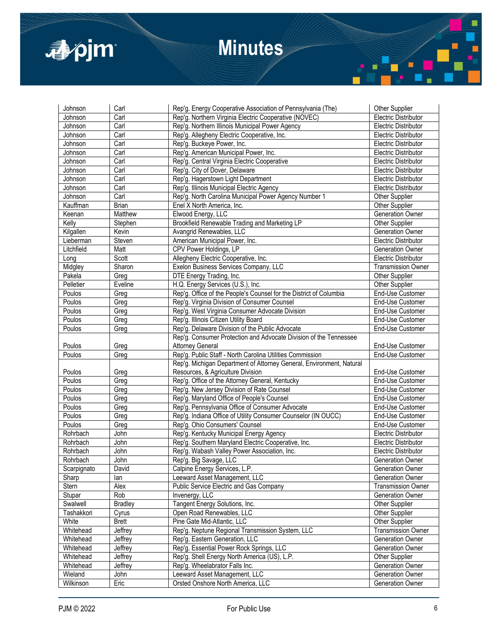

| Johnson     | Carl           | Rep'g. Energy Cooperative Association of Pennsylvania (The)          | <b>Other Supplier</b>       |
|-------------|----------------|----------------------------------------------------------------------|-----------------------------|
| Johnson     | Carl           | Rep'g. Northern Virginia Electric Cooperative (NOVEC)                | <b>Electric Distributor</b> |
| Johnson     | Carl           | Rep'g. Northern Illinois Municipal Power Agency                      | Electric Distributor        |
| Johnson     | Carl           | Rep'g. Allegheny Electric Cooperative, Inc.                          | <b>Electric Distributor</b> |
| Johnson     | Carl           | Rep'g. Buckeye Power, Inc.                                           | <b>Electric Distributor</b> |
| Johnson     | Carl           | Rep'g. American Municipal Power, Inc.                                | <b>Electric Distributor</b> |
| Johnson     | Carl           | Rep'g. Central Virginia Electric Cooperative                         | <b>Electric Distributor</b> |
| Johnson     | Carl           | Rep'g. City of Dover, Delaware                                       | <b>Electric Distributor</b> |
| Johnson     | Carl           | Rep'g. Hagerstown Light Department                                   | <b>Electric Distributor</b> |
| Johnson     | Carl           | Rep'g. Illinois Municipal Electric Agency                            | <b>Electric Distributor</b> |
| Johnson     | Carl           | Rep'g. North Carolina Municipal Power Agency Number 1                | Other Supplier              |
| Kauffman    | Brian          | Enel X North America, Inc.                                           | Other Supplier              |
| Keenan      | Matthew        | Elwood Energy, LLC                                                   | Generation Owner            |
| Kelly       | Stephen        | Brookfield Renewable Trading and Marketing LP                        | Other Supplier              |
| Kilgallen   | Kevin          | Avangrid Renewables, LLC                                             | Generation Owner            |
| Lieberman   | Steven         | American Municipal Power, Inc.                                       | <b>Electric Distributor</b> |
|             |                |                                                                      |                             |
| Litchfield  | Matt           | CPV Power Holdings, LP                                               | <b>Generation Owner</b>     |
| Long        | Scott          | Allegheny Electric Cooperative, Inc.                                 | <b>Electric Distributor</b> |
| Midgley     | Sharon         | Exelon Business Services Company, LLC                                | <b>Transmission Owner</b>   |
| Pakela      | Greg           | DTE Energy Trading, Inc.                                             | Other Supplier              |
| Pelletier   | Eveline        | H.Q. Energy Services (U.S.), Inc.                                    | Other Supplier              |
| Poulos      | Greg           | Rep'g. Office of the People's Counsel for the District of Columbia   | End-Use Customer            |
| Poulos      | Greg           | Rep'g. Virginia Division of Consumer Counsel                         | End-Use Customer            |
| Poulos      | Greg           | Rep'g. West Virginia Consumer Advocate Division                      | End-Use Customer            |
| Poulos      | Greg           | Rep'g. Illinois Citizen Utility Board                                | End-Use Customer            |
| Poulos      | Greg           | Rep'g. Delaware Division of the Public Advocate                      | End-Use Customer            |
|             |                | Rep'g. Consumer Protection and Advocate Division of the Tennessee    |                             |
| Poulos      | Greg           | <b>Attorney General</b>                                              | End-Use Customer            |
| Poulos      | Greg           | Rep'g. Public Staff - North Carolina Utilities Commission            | End-Use Customer            |
|             |                | Rep'g. Michigan Department of Attorney General, Environment, Natural |                             |
| Poulos      | Greg           | Resources, & Agriculture Division                                    | End-Use Customer            |
| Poulos      | Greg           | Rep'g. Office of the Attorney General, Kentucky                      | End-Use Customer            |
| Poulos      | Greg           | Rep'g. New Jersey Division of Rate Counsel                           | End-Use Customer            |
| Poulos      | Greg           | Rep'g. Maryland Office of People's Counsel                           | End-Use Customer            |
| Poulos      | Greg           | Rep'g. Pennsylvania Office of Consumer Advocate                      | End-Use Customer            |
| Poulos      | Greg           | Rep'g. Indiana Office of Utility Consumer Counselor (IN OUCC)        | End-Use Customer            |
| Poulos      | Greg           | Rep'g. Ohio Consumers' Counsel                                       | End-Use Customer            |
| Rohrbach    | John           | Rep'g. Kentucky Municipal Energy Agency                              | Electric Distributor        |
| Rohrbach    | John           | Rep'g. Southern Maryland Electric Cooperative, Inc.                  | <b>Electric Distributor</b> |
| Rohrbach    | John           | Rep'g. Wabash Valley Power Association, Inc.                         | <b>Electric Distributor</b> |
| Rohrbach    | John           | Rep'g. Big Savage, LLC                                               | <b>Generation Owner</b>     |
| Scarpignato | David          | Calpine Energy Services, L.P.                                        | Generation Owner            |
| Sharp       | lan            | Leeward Asset Management, LLC                                        | Generation Owner            |
| Stern       | Alex           | Public Service Electric and Gas Company                              | <b>Transmission Owner</b>   |
| Stupar      | Rob            | Invenergy, LLC                                                       | <b>Generation Owner</b>     |
| Swalwell    | <b>Bradley</b> | Tangent Energy Solutions, Inc.                                       | Other Supplier              |
| Tashakkori  | Cyrus          | Open Road Renewables, LLC                                            | Other Supplier              |
| White       | Brett          | Pine Gate Mid-Atlantic, LLC                                          | Other Supplier              |
| Whitehead   | Jeffrey        | Rep'g. Neptune Regional Transmission System, LLC                     | <b>Transmission Owner</b>   |
| Whitehead   | Jeffrey        | Rep'g. Eastern Generation, LLC                                       | Generation Owner            |
| Whitehead   | Jeffrey        | Rep'g. Essential Power Rock Springs, LLC                             | <b>Generation Owner</b>     |
| Whitehead   | Jeffrey        | Rep'g. Shell Energy North America (US), L.P.                         | Other Supplier              |
| Whitehead   | Jeffrey        | Rep'g. Wheelabrator Falls Inc.                                       | Generation Owner            |
| Wieland     | John           | Leeward Asset Management, LLC                                        | Generation Owner            |
| Wilkinson   | Eric           | Orsted Onshore North America, LLC                                    | Generation Owner            |

Г I

п

╣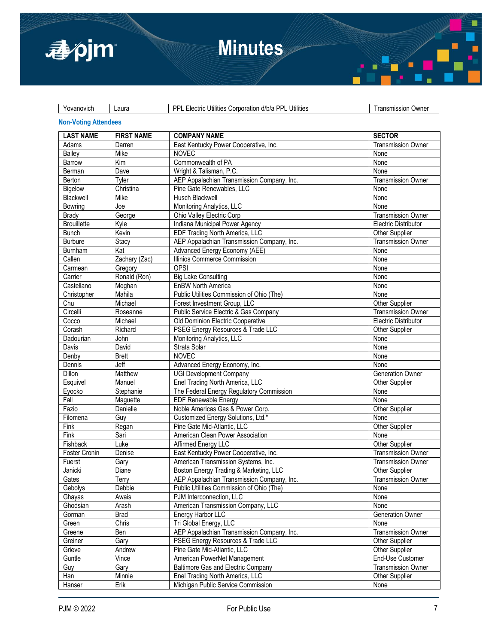



| Yovanovich | Laura | PPL Electric Utilities Corporation d/b/a PPL Utilities | Transmission Owner

### **Non-Voting Attendees**

| <b>LAST NAME</b>   | <b>FIRST NAME</b> | <b>COMPANY NAME</b>                        | <b>SECTOR</b>               |
|--------------------|-------------------|--------------------------------------------|-----------------------------|
| Adams              | Darren            | East Kentucky Power Cooperative, Inc.      | <b>Transmission Owner</b>   |
| Bailey             | Mike              | <b>NOVEC</b>                               | None                        |
| Barrow             | Kim               | Commonwealth of PA                         | None                        |
| Berman             | Dave              | Wright & Talisman, P.C.                    | None                        |
| Berton             | Tyler             | AEP Appalachian Transmission Company, Inc. | <b>Transmission Owner</b>   |
| Bigelow            | Christina         | Pine Gate Renewables, LLC                  | None                        |
| Blackwell          | Mike              | Husch Blackwell                            | None                        |
| Bowring            | Joe               | Monitoring Analytics, LLC                  | None                        |
| Brady              | George            | Ohio Valley Electric Corp                  | <b>Transmission Owner</b>   |
| <b>Brouillette</b> | Kyle              | Indiana Municipal Power Agency             | <b>Electric Distributor</b> |
| <b>Bunch</b>       | Kevin             | EDF Trading North America, LLC             | Other Supplier              |
| <b>Burbure</b>     | Stacy             | AEP Appalachian Transmission Company, Inc. | <b>Transmission Owner</b>   |
| Burnham            | Kat               | Advanced Energy Economy (AEE)              | None                        |
| Callen             | Zachary (Zac)     | Illinios Commerce Commission               | None                        |
| Carmean            | Gregory           | OPSI                                       | None                        |
| Carrier            | Ronald (Ron)      | <b>Big Lake Consulting</b>                 | None                        |
| Castellano         | Meghan            | <b>EnBW North America</b>                  | None                        |
| Christopher        | Mahila            | Public Utilities Commission of Ohio (The)  | None                        |
| Chu                | Michael           | Forest Investment Group, LLC               | Other Supplier              |
| Circelli           | Roseanne          | Public Service Electric & Gas Company      | <b>Transmission Owner</b>   |
| Cocco              | Michael           | Old Dominion Electric Cooperative          | Electric Distributor        |
| Corash             | Richard           | PSEG Energy Resources & Trade LLC          | Other Supplier              |
| Dadourian          | John              | Monitoring Analytics, LLC                  | None                        |
| Davis              | David             | Strata Solar                               | None                        |
| Denby              | <b>Brett</b>      | <b>NOVEC</b>                               | None                        |
| Dennis             | Jeff              | Advanced Energy Economy, Inc.              | None                        |
| Dillon             | Matthew           | <b>UGI Development Company</b>             | <b>Generation Owner</b>     |
| Esquivel           | Manuel            | Enel Trading North America, LLC            | Other Supplier              |
| Eyocko             | Stephanie         | The Federal Energy Regulatory Commission   | None                        |
| Fall               | Maguette          | <b>EDF Renewable Energy</b>                | None                        |
| Fazio              | Danielle          | Noble Americas Gas & Power Corp.           | Other Supplier              |
| Filomena           | Guy               | Customized Energy Solutions, Ltd.*         | None                        |
| Fink               | Regan             | Pine Gate Mid-Atlantic, LLC                | Other Supplier              |
| Fink               | Sari              | American Clean Power Association           | None                        |
| Fishback           | Luke              | Affirmed Energy LLC                        | Other Supplier              |
| Foster Cronin      | Denise            | East Kentucky Power Cooperative, Inc.      | <b>Transmission Owner</b>   |
| Fuerst             | Gary              | American Transmission Systems, Inc.        | <b>Transmission Owner</b>   |
| Janicki            | Diane             | Boston Energy Trading & Marketing, LLC     | Other Supplier              |
| Gates              | Terry             | AEP Appalachian Transmission Company, Inc. | <b>Transmission Owner</b>   |
| Gebolys            | Debbie            | Public Utilities Commission of Ohio (The)  | None                        |
| Ghayas             | Awais             | PJM Interconnection, LLC                   | None                        |
| Ghodsian           | Arash             | American Transmission Company, LLC         | None                        |
| Gorman             | <b>Brad</b>       | Energy Harbor LLC                          | Generation Owner            |
| Green              | Chris             | Tri Global Energy, LLC                     | None                        |
| Greene             | Ben               | AEP Appalachian Transmission Company, Inc. | <b>Transmission Owner</b>   |
| Greiner            | Gary              | PSEG Energy Resources & Trade LLC          | Other Supplier              |
| Grieve             | Andrew            | Pine Gate Mid-Atlantic, LLC                | Other Supplier              |
| Guntle             | Vince             | American PowerNet Management               | End-Use Customer            |
| Guy                | Gary              | Baltimore Gas and Electric Company         | <b>Transmission Owner</b>   |
| Han                | Minnie            | Enel Trading North America, LLC            | Other Supplier              |
| Hanser             | Erik              | Michigan Public Service Commission         | None                        |
|                    |                   |                                            |                             |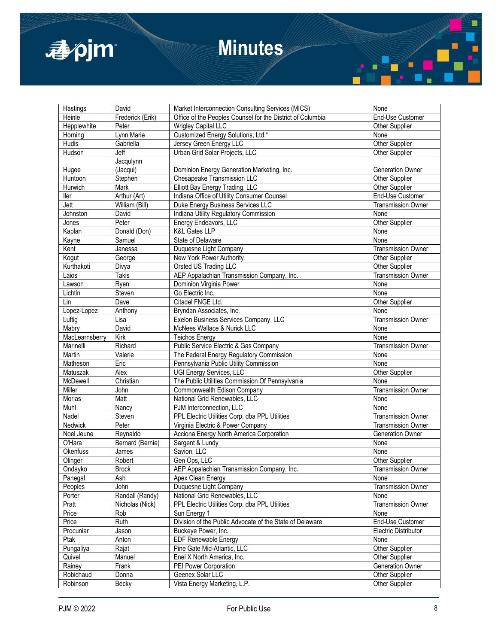

| Hastings       | David            | Market Interconnection Consulting Services (MICS)          | None                      |
|----------------|------------------|------------------------------------------------------------|---------------------------|
| Heinle         | Frederick (Erik) | Office of the Peoples Counsel for the District of Columbia | End-Use Customer          |
| Hepplewhite    | Peter            | <b>Wrigley Capital LLC</b>                                 | Other Supplier            |
| Horning        | Lynn Marie       | Customized Energy Solutions, Ltd.*                         | None                      |
| Hudis          | Gabriella        | Jersey Green Energy LLC                                    | Other Supplier            |
| Hudson         | Jeff             | Urban Grid Solar Projects, LLC                             | Other Supplier            |
|                | Jacqulynn        |                                                            |                           |
| Hugee          | (Jacqui)         | Dominion Energy Generation Marketing, Inc.                 | <b>Generation Owner</b>   |
| Huntoon        | Stephen          | Chesapeake Transmission LLC                                | Other Supplier            |
| Hurwich        | Mark             | Elliott Bay Energy Trading, LLC                            | Other Supplier            |
| ller           | Arthur (Art)     | Indiana Office of Utility Consumer Counsel                 | End-Use Customer          |
| Jett           | William (Bill)   | Duke Energy Business Services LLC                          | <b>Transmission Owner</b> |
| Johnston       | David            | Indiana Utility Regulatory Commission                      | None                      |
| Jones          | Peter            | Energy Endeavors, LLC                                      | Other Supplier            |
| Kaplan         | Donald (Don)     | <b>K&amp;L Gates LLP</b>                                   | None                      |
| Kayne          | Samuel           | State of Delaware                                          | None                      |
| Kent           | Janessa          | Duquesne Light Company                                     | <b>Transmission Owner</b> |
| Kogut          | George           | New York Power Authority                                   | Other Supplier            |
| Kurthakoti     | Divya            | Orsted US Trading LLC                                      | Other Supplier            |
| Laios          | Takis            | AEP Appalachian Transmission Company, Inc.                 | <b>Transmission Owner</b> |
| Lawson         | Ryen             | Dominion Virginia Power                                    | None                      |
| Lichtin        | Steven           | Go Electric Inc.                                           | None                      |
| Lin            | Dave             | Citadel FNGE Ltd.                                          | Other Supplier            |
| Lopez-Lopez    | Anthony          | Bryndan Associates, Inc.                                   | None                      |
| Luftig         | Lisa             | Exelon Business Services Company, LLC                      | <b>Transmission Owner</b> |
| Mabry          | David            | McNees Wallace & Nurick LLC                                | None                      |
| MacLearnsberry | Kirk             | <b>Teichos Energy</b>                                      | None                      |
| Marinelli      | Richard          | Public Service Electric & Gas Company                      | <b>Transmission Owner</b> |
| Martin         | Valerie          | The Federal Energy Regulatory Commission                   | None                      |
| Matheson       | Eric             | Pennsylvania Public Utility Commission                     | None                      |
| Matuszak       | Alex             | UGI Energy Services, LLC                                   | <b>Other Supplier</b>     |
| McDewell       | Christian        | The Public Utilities Commission Of Pennsylvania            | None                      |
| Miller         | John             | Commonwealth Edison Company                                | <b>Transmission Owner</b> |
| Morias         | Matt             | National Grid Renewables, LLC                              | None                      |
| Muhl           | Nancy            | PJM Interconnection, LLC                                   | None                      |
| Nadel          | Steven           | PPL Electric Utilities Corp. dba PPL Utilities             | <b>Transmission Owner</b> |
| Nedwick        | Peter            | Virginia Electric & Power Company                          | <b>Transmission Owner</b> |
| Noel Jeune     | Reynaldo         | Acciona Energy North America Corporation                   | <b>Generation Owner</b>   |
| O'Hara         | Bernard (Bernie) | Sargent & Lundy                                            | None                      |
| Okenfuss       | James            | Savion, LLC                                                | None                      |
|                | Robert           | Gen Ops, LLC                                               | Other Supplier            |
| Olinger        |                  |                                                            |                           |
| Ondayko        | <b>Brock</b>     | AEP Appalachian Transmission Company, Inc.                 | Transmission Owner        |
| Panegal        | Ash              | Apex Clean Energy                                          | None                      |
| Peoples        | John             | Duquesne Light Company                                     | <b>Transmission Owner</b> |
| Porter         | Randall (Randy)  | National Grid Renewables, LLC                              | None                      |
| Pratt          | Nicholas (Nick)  | PPL Electric Utilities Corp. dba PPL Utilities             | <b>Transmission Owner</b> |
| Price          | Rob              | Sun Energy 1                                               | None                      |
| Price          | Ruth             | Division of the Public Advocate of the State of Delaware   | End-Use Customer          |
| Procuniar      | Jason            | Buckeye Power, Inc.                                        | Electric Distributor      |
| Ptak           | Anton            | <b>EDF Renewable Energy</b>                                | None                      |
| Pungaliya      | Rajat            | Pine Gate Mid-Atlantic, LLC                                | Other Supplier            |
| Quivel         | Manuel           | Enel X North America, Inc.                                 | Other Supplier            |
| Rainey         | Frank            | PEI Power Corporation                                      | Generation Owner          |
| Robichaud      | Donna            | Geenex Solar LLC                                           | Other Supplier            |
| Robinson       | Becky            | Vista Energy Marketing, L.P.                               | Other Supplier            |

Г I

п

╣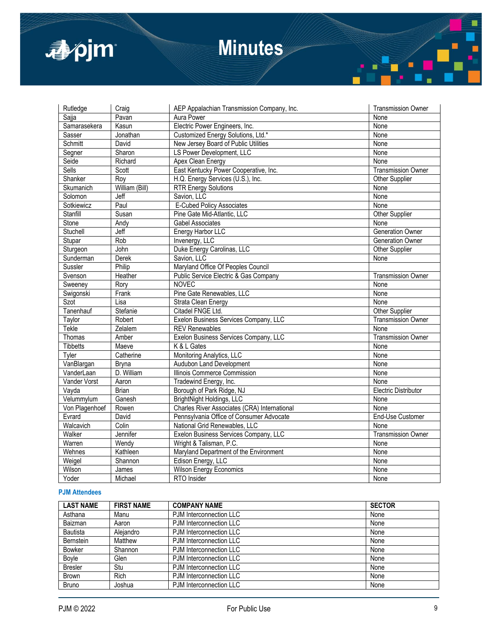

| Rutledge        | Craig          | AEP Appalachian Transmission Company, Inc.   | <b>Transmission Owner</b>   |
|-----------------|----------------|----------------------------------------------|-----------------------------|
| Sajja           | Pavan          | Aura Power                                   | None                        |
| Samarasekera    | Kasun          | Electric Power Engineers, Inc.               | None                        |
| Sasser          | Jonathan       | Customized Energy Solutions, Ltd.*           | None                        |
| Schmitt         | David          | New Jersey Board of Public Utilities         | None                        |
| Segner          | Sharon         | LS Power Development, LLC                    | None                        |
| Seide           | Richard        | Apex Clean Energy                            | None                        |
| <b>Sells</b>    | Scott          | East Kentucky Power Cooperative, Inc.        | <b>Transmission Owner</b>   |
| Shanker         | Roy            | H.Q. Energy Services (U.S.), Inc.            | Other Supplier              |
| Skumanich       | William (Bill) | <b>RTR Energy Solutions</b>                  | None                        |
| Solomon         | Jeff           | Savion, LLC                                  | None                        |
| Sotkiewicz      | Paul           | <b>E-Cubed Policy Associates</b>             | None                        |
| Stanfill        | Susan          | Pine Gate Mid-Atlantic, LLC                  | Other Supplier              |
| Stone           | Andy           | <b>Gabel Associates</b>                      | None                        |
| Stuchell        | Jeff           | Energy Harbor LLC                            | <b>Generation Owner</b>     |
| Stupar          | Rob            | Invenergy, LLC                               | <b>Generation Owner</b>     |
| Sturgeon        | John           | Duke Energy Carolinas, LLC                   | <b>Other Supplier</b>       |
| Sunderman       | Derek          | Savion, LLC                                  | None                        |
| Sussler         | Philip         | Maryland Office Of Peoples Council           |                             |
| Svenson         | Heather        | Public Service Electric & Gas Company        | <b>Transmission Owner</b>   |
| Sweeney         | Rory           | <b>NOVEC</b>                                 | None                        |
| Swigonski       | Frank          | Pine Gate Renewables, LLC                    | None                        |
| Szot            | Lisa           | Strata Clean Energy                          | None                        |
| Tanenhauf       | Stefanie       | Citadel FNGE Ltd.                            | Other Supplier              |
| Taylor          | Robert         | Exelon Business Services Company, LLC        | <b>Transmission Owner</b>   |
| Tekle           | Zelalem        | <b>REV Renewables</b>                        | None                        |
| Thomas          | Amber          | Exelon Business Services Company, LLC        | <b>Transmission Owner</b>   |
| <b>Tibbetts</b> | Maeve          | K & L Gates                                  | None                        |
| Tyler           | Catherine      | Monitoring Analytics, LLC                    | None                        |
| VanBlargan      | Bryna          | Audubon Land Development                     | None                        |
| VanderLaan      | D. William     | Illinois Commerce Commission                 | None                        |
| Vander Vorst    | Aaron          | Tradewind Energy, Inc.                       | None                        |
| Vayda           | <b>Brian</b>   | Borough of Park Ridge, NJ                    | <b>Electric Distributor</b> |
| Velummylum      | Ganesh         | BrightNight Holdings, LLC                    | None                        |
| Von Plagenhoef  | Rowen          | Charles River Associates (CRA) International | None                        |
| Evrard          | David          | Pennsylvania Office of Consumer Advocate     | End-Use Customer            |
| Walcavich       | Colin          | National Grid Renewables, LLC                | None                        |
| Walker          | Jennifer       | Exelon Business Services Company, LLC        | <b>Transmission Owner</b>   |
| Warren          | Wendy          | Wright & Talisman, P.C.                      | None                        |
| Wehnes          | Kathleen       | Maryland Department of the Environment       | None                        |
| Weigel          | Shannon        | Edison Energy, LLC                           | None                        |
| Wilson          | James          | <b>Wilson Energy Economics</b>               | None                        |
| Yoder           | Michael        | RTO Insider                                  | None                        |

#### **PJM Attendees**

| <b>LAST NAME</b> | <b>FIRST NAME</b> | <b>COMPANY NAME</b>     | <b>SECTOR</b> |
|------------------|-------------------|-------------------------|---------------|
| Asthana          | Manu              | PJM Interconnection LLC | None          |
| Baizman          | Aaron             | PJM Interconnection LLC | None          |
| Bautista         | Aleiandro         | PJM Interconnection LLC | None          |
| Bernstein        | Matthew           | PJM Interconnection LLC | None          |
| <b>Bowker</b>    | Shannon           | PJM Interconnection LLC | None          |
| <b>Bovle</b>     | Glen              | PJM Interconnection LLC | None          |
| <b>Bresler</b>   | Stu               | PJM Interconnection LLC | None          |
| <b>Brown</b>     | Rich              | PJM Interconnection LLC | None          |
| <b>Bruno</b>     | Joshua            | PJM Interconnection LLC | None          |

Г

п

7. L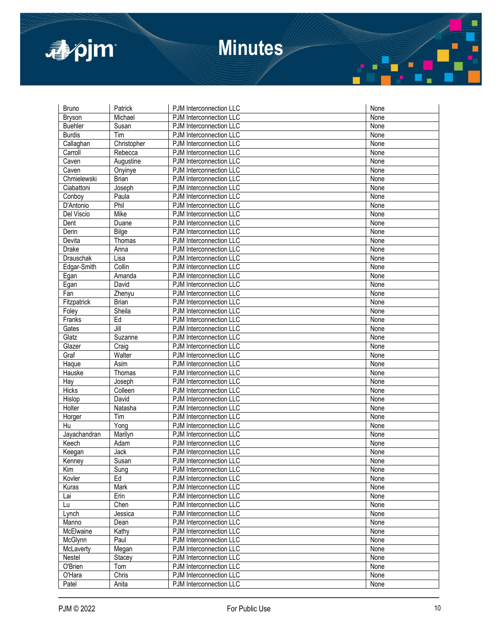

| Bruno          | Patrick             | PJM Interconnection LLC        | None |
|----------------|---------------------|--------------------------------|------|
| <b>Bryson</b>  | Michael             | PJM Interconnection LLC        | None |
| <b>Buehler</b> | Susan               | PJM Interconnection LLC        | None |
| <b>Burdis</b>  | Tim                 | PJM Interconnection LLC        | None |
| Callaghan      | Christopher         | PJM Interconnection LLC        | None |
| Carroll        | Rebecca             | PJM Interconnection LLC        | None |
| Caven          | Augustine           | PJM Interconnection LLC        | None |
| Caven          | Onyinye             | PJM Interconnection LLC        | None |
| Chmielewski    | <b>Brian</b>        | PJM Interconnection LLC        | None |
| Ciabattoni     | Joseph              | PJM Interconnection LLC        | None |
| Conboy         | Paula               | PJM Interconnection LLC        | None |
| D'Antonio      | Phil                | PJM Interconnection LLC        | None |
| Del Viscio     | <b>Mike</b>         | PJM Interconnection LLC        | None |
| Dent           | Duane               | PJM Interconnection LLC        | None |
| Derin          | Bilge               | PJM Interconnection LLC        | None |
| Devita         | Thomas              | PJM Interconnection LLC        | None |
| <b>Drake</b>   | Anna                | <b>PJM Interconnection LLC</b> | None |
| Drauschak      | Lisa                | <b>PJM</b> Interconnection LLC | None |
| Edgar-Smith    | Collin              | PJM Interconnection LLC        | None |
| Egan           | Amanda              | PJM Interconnection LLC        | None |
| Egan           | David               | PJM Interconnection LLC        | None |
| Fan            | Zhenyu              | PJM Interconnection LLC        | None |
| Fitzpatrick    | <b>Brian</b>        | PJM Interconnection LLC        | None |
| Foley          | Sheila              | PJM Interconnection LLC        | None |
| Franks         | Ed                  | PJM Interconnection LLC        | None |
| Gates          | Jill                | PJM Interconnection LLC        | None |
| Glatz          | Suzanne             | PJM Interconnection LLC        | None |
| Glazer         | $\overline{C}$ raig | PJM Interconnection LLC        | None |
| Graf           | Walter              | PJM Interconnection LLC        | None |
| Haque          | Asim                | PJM Interconnection LLC        | None |
| Hauske         | Thomas              | PJM Interconnection LLC        | None |
| Hay            | Joseph              | PJM Interconnection LLC        | None |
| Hicks          | Colleen             | PJM Interconnection LLC        | None |
| Hislop         | David               | <b>PJM</b> Interconnection LLC | None |
| Holter         | Natasha             | PJM Interconnection LLC        | None |
| Horger         | Tim                 | PJM Interconnection LLC        | None |
| Hu             | Yong                | PJM Interconnection LLC        | None |
| Jayachandran   | Marilyn             | PJM Interconnection LLC        | None |
| Keech          | Adam                | PJM Interconnection LLC        | None |
| Keegan         | Jack                | PJM Interconnection LLC        | None |
| Kenney         | Susan               | <b>PJM</b> Interconnection LLC | None |
| Kim            | Sung                | PJM Interconnection LLC        | None |
| Kovler         | Ed                  | PJM Interconnection LLC        | None |
| Kuras          | Mark                | PJM Interconnection LLC        | None |
| Lai            | Erin                | PJM Interconnection LLC        | None |
| Lu             | Chen                | PJM Interconnection LLC        | None |
| Lynch          | Jessica             | PJM Interconnection LLC        | None |
| Manno          | Dean                | PJM Interconnection LLC        | None |
| McElwaine      | Kathy               | PJM Interconnection LLC        | None |
| McGlynn        | Paul                | PJM Interconnection LLC        | None |
| McLaverty      | Megan               | PJM Interconnection LLC        | None |
| Nestel         | Stacey              | PJM Interconnection LLC        | None |
| O'Brien        | Tom                 | PJM Interconnection LLC        | None |
| O'Hara         | Chris               | PJM Interconnection LLC        | None |
| Patel          | Anita               | PJM Interconnection LLC        | None |